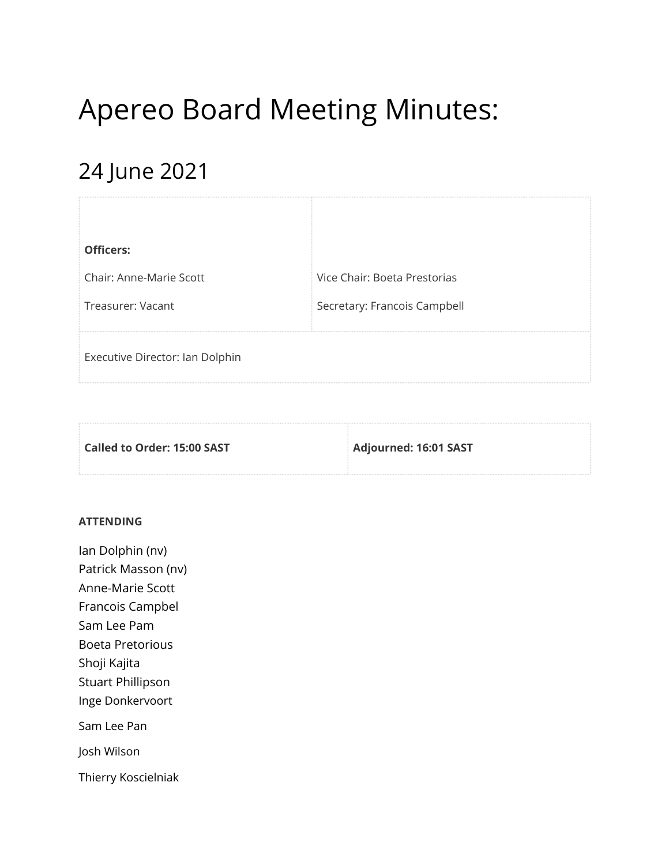# Apereo Board Meeting Minutes:

# 24 June 2021

| <b>Officers:</b>                |                              |
|---------------------------------|------------------------------|
| Chair: Anne-Marie Scott         | Vice Chair: Boeta Prestorias |
| Treasurer: Vacant               | Secretary: Francois Campbell |
| Executive Director: Ian Dolphin |                              |

| Called to Order: 15:00 SAST | <b>Adjourned: 16:01 SAST</b> |
|-----------------------------|------------------------------|
|                             |                              |

#### **ATTENDING**

Ian Dolphin (nv) Patrick Masson (nv) Anne-Marie Scott Francois Campbel Sam Lee Pam Boeta Pretorious Shoji Kajita Stuart Phillipson Inge Donkervoort Sam Lee Pan Josh Wilson Thierry Koscielniak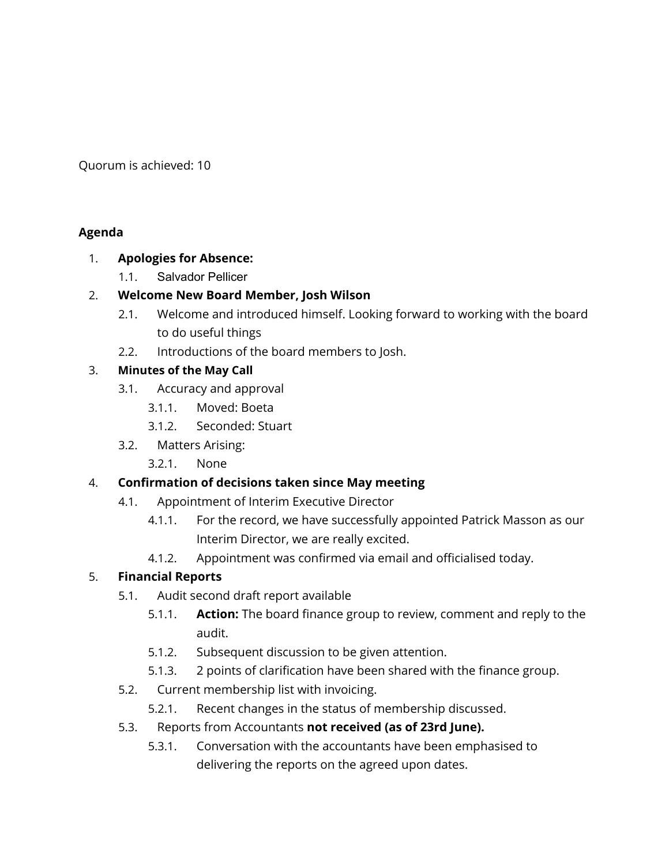Quorum is achieved: 10

#### **Agenda**

#### 1. **Apologies for Absence:**

1.1. Salvador Pellicer

# 2. **Welcome New Board Member, Josh Wilson**

- 2.1. Welcome and introduced himself. Looking forward to working with the board to do useful things
- 2.2. Introductions of the board members to Josh.

# 3. **Minutes of the May Call**

- 3.1. Accuracy and approval
	- 3.1.1. Moved: Boeta
	- 3.1.2. Seconded: Stuart
- 3.2. Matters Arising:
	- 3.2.1. None

# 4. **Confirmation of decisions taken since May meeting**

- 4.1. Appointment of Interim Executive Director
	- 4.1.1. For the record, we have successfully appointed Patrick Masson as our Interim Director, we are really excited.
	- 4.1.2. Appointment was confirmed via email and officialised today.

# 5. **Financial Reports**

- 5.1. Audit second draft report available
	- 5.1.1. **Action:** The board finance group to review, comment and reply to the audit.
	- 5.1.2. Subsequent discussion to be given attention.
	- 5.1.3. 2 points of clarification have been shared with the finance group.
- 5.2. Current membership list with invoicing.
	- 5.2.1. Recent changes in the status of membership discussed.
- 5.3. Reports from Accountants **not received (as of 23rd June).**
	- 5.3.1. Conversation with the accountants have been emphasised to delivering the reports on the agreed upon dates.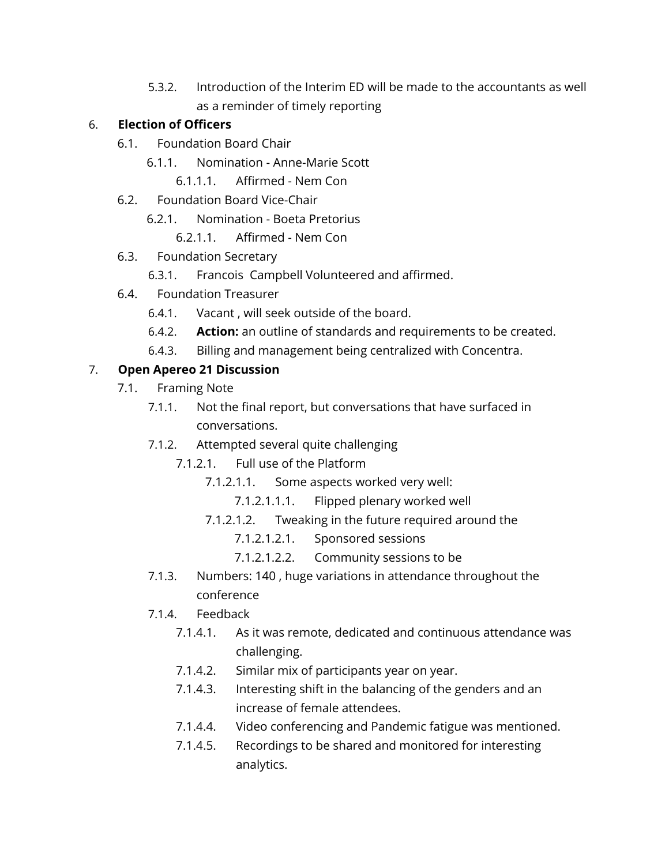5.3.2. Introduction of the Interim ED will be made to the accountants as well as a reminder of timely reporting

### 6. **Election of Officers**

- 6.1. Foundation Board Chair
	- 6.1.1. Nomination Anne-Marie Scott
		- 6.1.1.1. Affirmed Nem Con
- 6.2. Foundation Board Vice-Chair
	- 6.2.1. Nomination Boeta Pretorius
		- 6.2.1.1. Affirmed Nem Con
- 6.3. Foundation Secretary
	- 6.3.1. Francois Campbell Volunteered and affirmed.
- 6.4. Foundation Treasurer
	- 6.4.1. Vacant , will seek outside of the board.
	- 6.4.2. **Action:** an outline of standards and requirements to be created.
	- 6.4.3. Billing and management being centralized with Concentra.

# 7. **Open Apereo 21 Discussion**

- 7.1. Framing Note
	- 7.1.1. Not the final report, but conversations that have surfaced in conversations.
	- 7.1.2. Attempted several quite challenging
		- 7.1.2.1. Full use of the Platform
			- 7.1.2.1.1. Some aspects worked very well:
				- 7.1.2.1.1.1. Flipped plenary worked well
			- 7.1.2.1.2. Tweaking in the future required around the
				- 7.1.2.1.2.1. Sponsored sessions
				- 7.1.2.1.2.2. Community sessions to be
	- 7.1.3. Numbers: 140 , huge variations in attendance throughout the conference
	- 7.1.4. Feedback
		- 7.1.4.1. As it was remote, dedicated and continuous attendance was challenging.
		- 7.1.4.2. Similar mix of participants year on year.
		- 7.1.4.3. Interesting shift in the balancing of the genders and an increase of female attendees.
		- 7.1.4.4. Video conferencing and Pandemic fatigue was mentioned.
		- 7.1.4.5. Recordings to be shared and monitored for interesting analytics.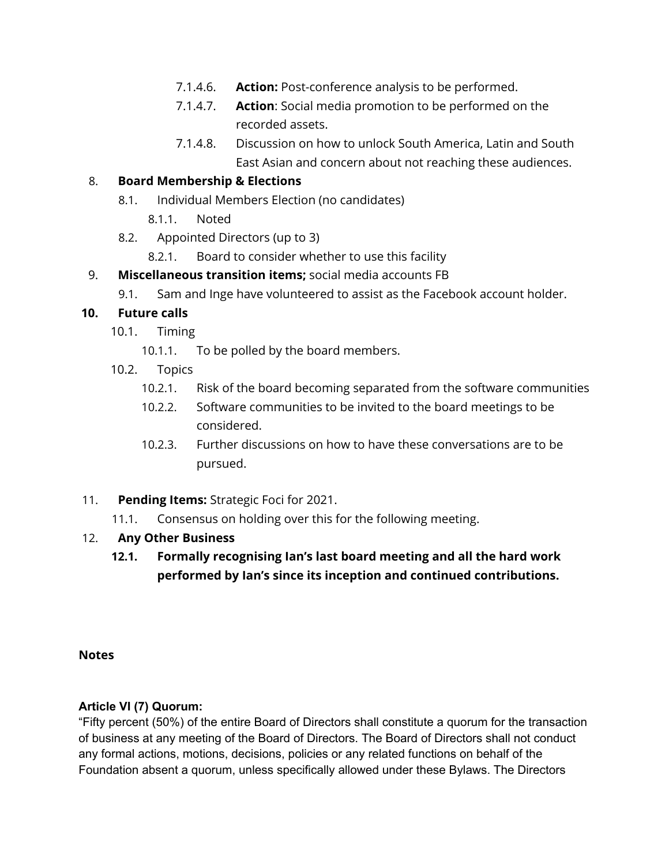- 7.1.4.6. **Action:** Post-conference analysis to be performed.
- 7.1.4.7. **Action**: Social media promotion to be performed on the recorded assets.
- 7.1.4.8. Discussion on how to unlock South America, Latin and South East Asian and concern about not reaching these audiences.

#### 8. **Board Membership & Elections**

- 8.1. Individual Members Election (no candidates)
	- 8.1.1. Noted
- 8.2. Appointed Directors (up to 3)
	- 8.2.1. Board to consider whether to use this facility
- 9. **Miscellaneous transition items;** social media accounts FB
	- 9.1. Sam and Inge have volunteered to assist as the Facebook account holder.

#### **10. Future calls**

- 10.1. Timing
	- 10.1.1. To be polled by the board members.
- 10.2. Topics
	- 10.2.1. Risk of the board becoming separated from the software communities
	- 10.2.2. Software communities to be invited to the board meetings to be considered.
	- 10.2.3. Further discussions on how to have these conversations are to be pursued.
- 11. **Pending Items:** Strategic Foci for 2021.
	- 11.1. Consensus on holding over this for the following meeting.

# 12. **Any Other Business**

**12.1. Formally recognising Ian's last board meeting and all the hard work performed by Ian's since its inception and continued contributions.**

#### **Notes**

#### **Article VI (7) Quorum:**

"Fifty percent (50%) of the entire Board of Directors shall constitute a quorum for the transaction of business at any meeting of the Board of Directors. The Board of Directors shall not conduct any formal actions, motions, decisions, policies or any related functions on behalf of the Foundation absent a quorum, unless specifically allowed under these Bylaws. The Directors